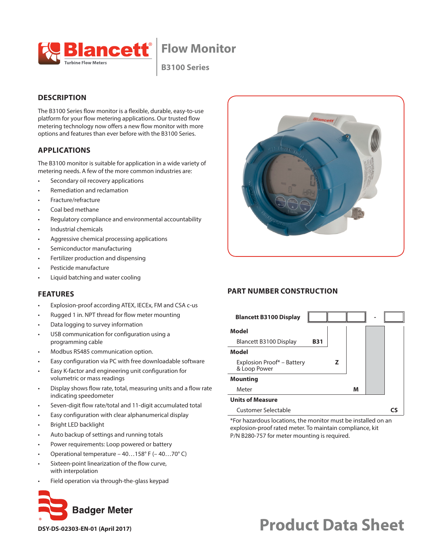

## **Flow Monitor**

## **B3100 Series**

## **DESCRIPTION**

The B3100 Series flow monitor is a flexible, durable, easy-to-use platform for your flow metering applications. Our trusted flow metering technology now offers a new flow monitor with more options and features than ever before with the B3100 Series.

## **APPLICATIONS**

The B3100 monitor is suitable for application in a wide variety of metering needs. A few of the more common industries are:

- Secondary oil recovery applications
- Remediation and reclamation
- Fracture/refracture
- Coal bed methane
- Regulatory compliance and environmental accountability
- Industrial chemicals
- Aggressive chemical processing applications
- Semiconductor manufacturing
- Fertilizer production and dispensing
- Pesticide manufacture
- Liquid batching and water cooling

## **FEATURES**

- Explosion-proof according ATEX, IECEx, FM and CSA c-us
- Rugged 1 in. NPT thread for flow meter mounting
- Data logging to survey information
- USB communication for configuration using a programming cable
- Modbus RS485 communication option.
- Easy configuration via PC with free downloadable software
- Easy K-factor and engineering unit configuration for volumetric or mass readings
- Display shows flow rate, total, measuring units and a flow rate indicating speedometer
- Seven-digit flow rate/total and 11-digit accumulated total
- Easy configuration with clear alphanumerical display
- Bright LED backlight
- Auto backup of settings and running totals
- Power requirements: Loop powered or battery
- Operational temperature 40…158° F (– 40…70° C)
- Sixteen-point linearization of the flow curve, with interpolation
- Field operation via through-the-glass keypad



**DSY-DS-02303-EN-01 (April 2017)**



## **PART NUMBER CONSTRUCTION**

| <b>Blancett B3100 Display</b>              |            |   |   |  |
|--------------------------------------------|------------|---|---|--|
| Model                                      |            |   |   |  |
| Blancett B3100 Display                     | <b>B31</b> |   |   |  |
| Model                                      |            |   |   |  |
| Explosion Proof* – Battery<br>& Loop Power |            | z |   |  |
| <b>Mounting</b>                            |            |   |   |  |
| Meter                                      |            |   | М |  |
| <b>Units of Measure</b>                    |            |   |   |  |
| <b>Customer Selectable</b>                 |            |   |   |  |

\*For hazardous locations, the monitor must be installed on an explosion-proof rated meter. To maintain compliance, kit P/N B280-757 for meter mounting is required.

# **Product Data Sheet**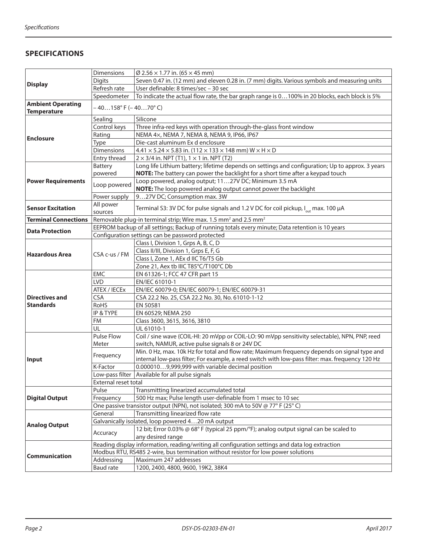## **SPECIFICATIONS**

|                                                | <b>Dimensions</b>                                                                                | Ø 2.56 $\times$ 1.77 in. (65 $\times$ 45 mm)                                                                                                                                          |  |  |  |
|------------------------------------------------|--------------------------------------------------------------------------------------------------|---------------------------------------------------------------------------------------------------------------------------------------------------------------------------------------|--|--|--|
|                                                |                                                                                                  |                                                                                                                                                                                       |  |  |  |
| <b>Display</b>                                 | <b>Digits</b>                                                                                    | Seven 0.47 in. (12 mm) and eleven 0.28 in. (7 mm) digits. Various symbols and measuring units                                                                                         |  |  |  |
|                                                | Refresh rate                                                                                     | User definable: 8 times/sec - 30 sec                                                                                                                                                  |  |  |  |
|                                                | Speedometer                                                                                      | To indicate the actual flow rate, the bar graph range is 0100% in 20 blocks, each block is 5%                                                                                         |  |  |  |
| <b>Ambient Operating</b><br><b>Temperature</b> | $-40158$ °F ( $-4070$ °C)                                                                        |                                                                                                                                                                                       |  |  |  |
| <b>Enclosure</b>                               | Sealing                                                                                          | Silicone                                                                                                                                                                              |  |  |  |
|                                                | Control keys                                                                                     | Three infra-red keys with operation through-the-glass front window                                                                                                                    |  |  |  |
|                                                | Rating                                                                                           | NEMA 4x, NEMA 7, NEMA 8, NEMA 9, IP66, IP67                                                                                                                                           |  |  |  |
|                                                | Type                                                                                             | Die-cast aluminum Ex d enclosure                                                                                                                                                      |  |  |  |
|                                                | <b>Dimensions</b>                                                                                | $4.41 \times 5.24 \times 5.83$ in. (112 × 133 × 148 mm) W $\times$ H $\times$ D                                                                                                       |  |  |  |
|                                                | Entry thread                                                                                     | $2 \times 3/4$ in. NPT (T1), $1 \times 1$ in. NPT (T2)                                                                                                                                |  |  |  |
|                                                | Battery                                                                                          | Long life Lithium battery; lifetime depends on settings and configuration; Up to approx. 3 years                                                                                      |  |  |  |
|                                                | powered                                                                                          | NOTE: The battery can power the backlight for a short time after a keypad touch                                                                                                       |  |  |  |
| <b>Power Requirements</b>                      | Loop powered                                                                                     | Loop powered, analog output; 1127V DC; Minimum 3.5 mA                                                                                                                                 |  |  |  |
|                                                |                                                                                                  | NOTE: The loop powered analog output cannot power the backlight                                                                                                                       |  |  |  |
|                                                | Power supply                                                                                     | 927V DC; Consumption max. 3W                                                                                                                                                          |  |  |  |
|                                                | All power                                                                                        |                                                                                                                                                                                       |  |  |  |
| <b>Sensor Excitation</b>                       | sources                                                                                          | Terminal S3: 3V DC for pulse signals and 1.2 V DC for coil pickup, I <sub>out</sub> max. 100 µA                                                                                       |  |  |  |
| <b>Terminal Connections</b>                    | Removable plug-in terminal strip; Wire max. 1.5 mm <sup>2</sup> and 2.5 mm <sup>2</sup>          |                                                                                                                                                                                       |  |  |  |
| <b>Data Protection</b>                         | EEPROM backup of all settings; Backup of running totals every minute; Data retention is 10 years |                                                                                                                                                                                       |  |  |  |
|                                                |                                                                                                  | Configuration settings can be password protected                                                                                                                                      |  |  |  |
|                                                |                                                                                                  | Class I, Division 1, Grps A, B, C, D                                                                                                                                                  |  |  |  |
|                                                | CSA c-us / FM                                                                                    | Class II/III, Division 1, Grps E, F, G                                                                                                                                                |  |  |  |
| <b>Hazardous Area</b>                          |                                                                                                  | Class I, Zone 1, AEx d IIC T6/T5 Gb                                                                                                                                                   |  |  |  |
|                                                |                                                                                                  | Zone 21, Aex tb IIIC T85°C/T100°C Db                                                                                                                                                  |  |  |  |
|                                                | <b>EMC</b>                                                                                       | EN 61326-1; FCC 47 CFR part 15                                                                                                                                                        |  |  |  |
|                                                | <b>LVD</b>                                                                                       | EN/IEC 61010-1                                                                                                                                                                        |  |  |  |
|                                                | ATEX / IECEx                                                                                     | EN/IEC 60079-0; EN/IEC 60079-1; EN/IEC 60079-31                                                                                                                                       |  |  |  |
| <b>Directives and</b>                          | <b>CSA</b>                                                                                       | CSA 22.2 No. 25, CSA 22.2 No. 30, No. 61010-1-12                                                                                                                                      |  |  |  |
| <b>Standards</b>                               | <b>RoHS</b>                                                                                      | EN 50581                                                                                                                                                                              |  |  |  |
|                                                | IP & TYPE                                                                                        | EN 60529; NEMA 250                                                                                                                                                                    |  |  |  |
|                                                |                                                                                                  |                                                                                                                                                                                       |  |  |  |
|                                                | FM                                                                                               | Class 3600, 3615, 3616, 3810                                                                                                                                                          |  |  |  |
|                                                | UL                                                                                               | UL 61010-1                                                                                                                                                                            |  |  |  |
|                                                | Pulse Flow                                                                                       | Coil / sine wave (COIL-HI: 20 mVpp or COIL-LO: 90 mVpp sensitivity selectable), NPN, PNP, reed                                                                                        |  |  |  |
|                                                | Meter                                                                                            | switch, NAMUR, active pulse signals 8 or 24V DC                                                                                                                                       |  |  |  |
|                                                |                                                                                                  | Min. 0 Hz, max. 10k Hz for total and flow rate; Maximum frequency depends on signal type and                                                                                          |  |  |  |
| Input                                          | Frequency                                                                                        | internal low-pass filter; For example, a reed switch with low-pass filter: max. frequency 120 Hz                                                                                      |  |  |  |
|                                                | K-Factor                                                                                         | 0.0000109,999,999 with variable decimal position                                                                                                                                      |  |  |  |
|                                                |                                                                                                  | Low-pass filter   Available for all pulse signals                                                                                                                                     |  |  |  |
|                                                | External reset total                                                                             |                                                                                                                                                                                       |  |  |  |
|                                                | Pulse                                                                                            | Transmitting linearized accumulated total                                                                                                                                             |  |  |  |
| <b>Digital Output</b>                          | Frequency                                                                                        | 500 Hz max; Pulse length user-definable from 1 msec to 10 sec                                                                                                                         |  |  |  |
|                                                |                                                                                                  | One passive transistor output (NPN), not isolated; 300 mA to 50V @ 77° F (25° C)                                                                                                      |  |  |  |
|                                                | General                                                                                          | Transmitting linearized flow rate                                                                                                                                                     |  |  |  |
|                                                |                                                                                                  | Galvanically isolated, loop powered 420 mA output                                                                                                                                     |  |  |  |
| <b>Analog Output</b>                           |                                                                                                  | 12 bit; Error 0.03% @ 68° F (typical 25 ppm/°F); analog output signal can be scaled to                                                                                                |  |  |  |
|                                                | Accuracy                                                                                         | any desired range                                                                                                                                                                     |  |  |  |
|                                                |                                                                                                  |                                                                                                                                                                                       |  |  |  |
|                                                |                                                                                                  | Reading display information, reading/writing all configuration settings and data log extraction<br>Modbus RTU, RS485 2-wire, bus termination without resistor for low power solutions |  |  |  |
| <b>Communication</b>                           | Addressing                                                                                       | Maximum 247 addresses                                                                                                                                                                 |  |  |  |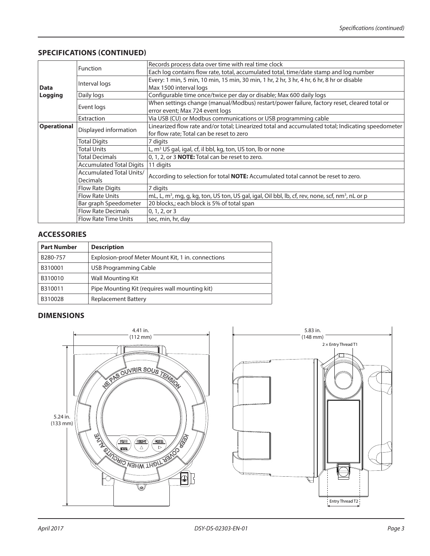## **SPECIFICATIONS (CONTINUED)**

|                              |                                 | Records process data over time with real time clock                                                                            |  |
|------------------------------|---------------------------------|--------------------------------------------------------------------------------------------------------------------------------|--|
| Function                     |                                 | Each log contains flow rate, total, accumulated total, time/date stamp and log number                                          |  |
|                              |                                 | Every: 1 min, 5 min, 10 min, 15 min, 30 min, 1 hr, 2 hr, 3 hr, 4 hr, 6 hr, 8 hr or disable                                     |  |
| Interval logs<br><b>Data</b> |                                 | Max 1500 interval logs                                                                                                         |  |
| Logging                      | Daily logs                      | Configurable time once/twice per day or disable; Max 600 daily logs                                                            |  |
|                              | Event logs                      | When settings change (manual/Modbus) restart/power failure, factory reset, cleared total or<br>error event; Max 724 event logs |  |
|                              | Extraction                      | Via USB (CU) or Modbus communications or USB programming cable                                                                 |  |
| <b>Operational</b>           |                                 | Linearized flow rate and/or total; Linearized total and accumulated total; Indicating speedometer                              |  |
|                              | Displayed information           | for flow rate; Total can be reset to zero                                                                                      |  |
|                              | Total Digits                    | 7 digits                                                                                                                       |  |
|                              | Total Units                     | L, $m3$ US gal, igal, cf, il bbl, kg, ton, US ton, lb or none                                                                  |  |
|                              | <b>Total Decimals</b>           | 0, 1, 2, or 3 <b>NOTE:</b> Total can be reset to zero.                                                                         |  |
|                              | <b>Accumulated Total Digits</b> | 11 digits                                                                                                                      |  |
|                              | <b>Accumulated Total Units/</b> | According to selection for total <b>NOTE:</b> Accumulated total cannot be reset to zero.                                       |  |
|                              | <b>Decimals</b>                 |                                                                                                                                |  |
|                              | <b>Flow Rate Digits</b>         | 7 digits                                                                                                                       |  |
|                              | <b>Flow Rate Units</b>          | mL, L, m <sup>3</sup> , mg, g, kg, ton, US ton, US gal, igal, Oil bbl, lb, cf, rev, none, scf, nm <sup>3</sup> , nL or p       |  |
|                              | Bar graph Speedometer           | 20 blocks,; each block is 5% of total span                                                                                     |  |
|                              | <b>Flow Rate Decimals</b>       | $0, 1, 2,$ or 3                                                                                                                |  |
|                              | <b>Flow Rate Time Units</b>     | sec, min, hr, day                                                                                                              |  |

### **ACCESSORIES**

| <b>Part Number</b> | <b>Description</b>                                 |
|--------------------|----------------------------------------------------|
| B280-757           | Explosion-proof Meter Mount Kit, 1 in. connections |
| B310001            | USB Programming Cable                              |
| B310010            | <b>Wall Mounting Kit</b>                           |
| B310011            | Pipe Mounting Kit (requires wall mounting kit)     |
| B310028            | <b>Replacement Battery</b>                         |

#### **DIMENSIONS**